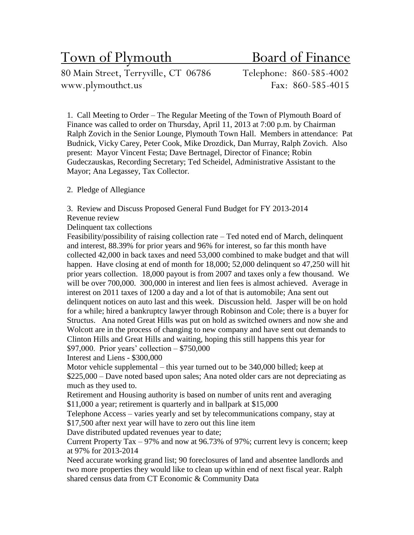# Town of Plymouth Board of Finance

80 Main Street, Terryville, CT 06786 Telephone: 860-585-4002 www.plymouthct.us Fax: 860-585-4015

1. Call Meeting to Order – The Regular Meeting of the Town of Plymouth Board of Finance was called to order on Thursday, April 11, 2013 at 7:00 p.m. by Chairman Ralph Zovich in the Senior Lounge, Plymouth Town Hall. Members in attendance: Pat Budnick, Vicky Carey, Peter Cook, Mike Drozdick, Dan Murray, Ralph Zovich. Also present: Mayor Vincent Festa; Dave Bertnagel, Director of Finance; Robin Gudeczauskas, Recording Secretary; Ted Scheidel, Administrative Assistant to the Mayor; Ana Legassey, Tax Collector.

### 2. Pledge of Allegiance

3. Review and Discuss Proposed General Fund Budget for FY 2013-2014 Revenue review

Delinquent tax collections

Feasibility/possibility of raising collection rate – Ted noted end of March, delinquent and interest, 88.39% for prior years and 96% for interest, so far this month have collected 42,000 in back taxes and need 53,000 combined to make budget and that will happen. Have closing at end of month for 18,000; 52,000 delinquent so 47,250 will hit prior years collection. 18,000 payout is from 2007 and taxes only a few thousand. We will be over 700,000. 300,000 in interest and lien fees is almost achieved. Average in interest on 2011 taxes of 1200 a day and a lot of that is automobile; Ana sent out delinquent notices on auto last and this week. Discussion held. Jasper will be on hold for a while; hired a bankruptcy lawyer through Robinson and Cole; there is a buyer for Structus. Ana noted Great Hills was put on hold as switched owners and now she and Wolcott are in the process of changing to new company and have sent out demands to Clinton Hills and Great Hills and waiting, hoping this still happens this year for \$97,000. Prior years' collection – \$750,000

Interest and Liens - \$300,000

Motor vehicle supplemental – this year turned out to be 340,000 billed; keep at \$225,000 – Dave noted based upon sales; Ana noted older cars are not depreciating as much as they used to.

Retirement and Housing authority is based on number of units rent and averaging \$11,000 a year; retirement is quarterly and in ballpark at \$15,000

Telephone Access – varies yearly and set by telecommunications company, stay at \$17,500 after next year will have to zero out this line item

Dave distributed updated revenues year to date;

Current Property Tax – 97% and now at 96.73% of 97%; current levy is concern; keep at 97% for 2013-2014

Need accurate working grand list; 90 foreclosures of land and absentee landlords and two more properties they would like to clean up within end of next fiscal year. Ralph shared census data from CT Economic & Community Data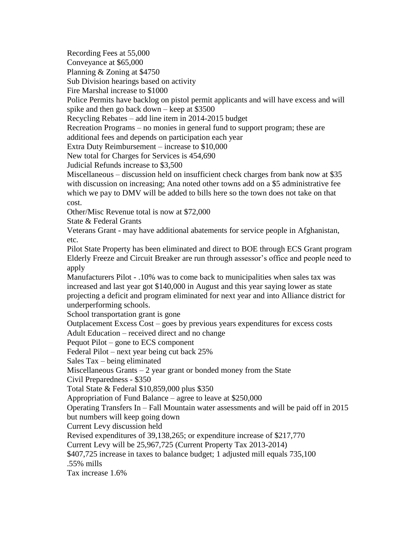Recording Fees at 55,000

Conveyance at \$65,000

Planning & Zoning at \$4750

Sub Division hearings based on activity

Fire Marshal increase to \$1000

Police Permits have backlog on pistol permit applicants and will have excess and will spike and then go back down – keep at \$3500

Recycling Rebates – add line item in 2014-2015 budget

Recreation Programs – no monies in general fund to support program; these are

additional fees and depends on participation each year

Extra Duty Reimbursement – increase to \$10,000

New total for Charges for Services is 454,690

Judicial Refunds increase to \$3,500

Miscellaneous – discussion held on insufficient check charges from bank now at \$35 with discussion on increasing; Ana noted other towns add on a \$5 administrative fee which we pay to DMV will be added to bills here so the town does not take on that cost.

Other/Misc Revenue total is now at \$72,000

State & Federal Grants

Veterans Grant - may have additional abatements for service people in Afghanistan, etc.

Pilot State Property has been eliminated and direct to BOE through ECS Grant program Elderly Freeze and Circuit Breaker are run through assessor's office and people need to apply

Manufacturers Pilot - .10% was to come back to municipalities when sales tax was increased and last year got \$140,000 in August and this year saying lower as state projecting a deficit and program eliminated for next year and into Alliance district for underperforming schools.

School transportation grant is gone

Outplacement Excess Cost – goes by previous years expenditures for excess costs Adult Education – received direct and no change

Pequot Pilot – gone to ECS component

Federal Pilot – next year being cut back 25%

Sales Tax – being eliminated

Miscellaneous Grants  $-2$  year grant or bonded money from the State

Civil Preparedness - \$350

Total State & Federal \$10,859,000 plus \$350

Appropriation of Fund Balance – agree to leave at \$250,000

Operating Transfers In – Fall Mountain water assessments and will be paid off in 2015 but numbers will keep going down

Current Levy discussion held

Revised expenditures of 39,138,265; or expenditure increase of \$217,770

Current Levy will be 25,967,725 (Current Property Tax 2013-2014)

\$407,725 increase in taxes to balance budget; 1 adjusted mill equals 735,100

.55% mills

Tax increase 1.6%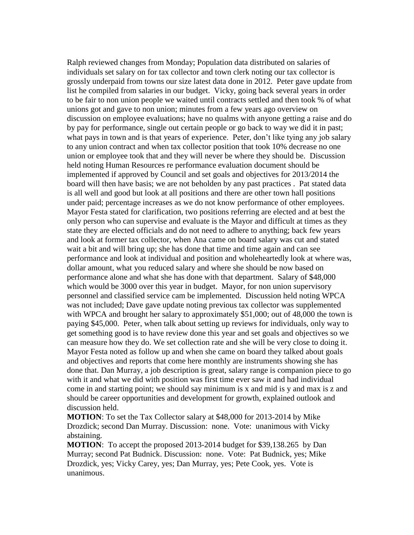Ralph reviewed changes from Monday; Population data distributed on salaries of individuals set salary on for tax collector and town clerk noting our tax collector is grossly underpaid from towns our size latest data done in 2012. Peter gave update from list he compiled from salaries in our budget. Vicky, going back several years in order to be fair to non union people we waited until contracts settled and then took % of what unions got and gave to non union; minutes from a few years ago overview on discussion on employee evaluations; have no qualms with anyone getting a raise and do by pay for performance, single out certain people or go back to way we did it in past; what pays in town and is that years of experience. Peter, don't like tying any job salary to any union contract and when tax collector position that took 10% decrease no one union or employee took that and they will never be where they should be. Discussion held noting Human Resources re performance evaluation document should be implemented if approved by Council and set goals and objectives for 2013/2014 the board will then have basis; we are not beholden by any past practices . Pat stated data is all well and good but look at all positions and there are other town hall positions under paid; percentage increases as we do not know performance of other employees. Mayor Festa stated for clarification, two positions referring are elected and at best the only person who can supervise and evaluate is the Mayor and difficult at times as they state they are elected officials and do not need to adhere to anything; back few years and look at former tax collector, when Ana came on board salary was cut and stated wait a bit and will bring up; she has done that time and time again and can see performance and look at individual and position and wholeheartedly look at where was, dollar amount, what you reduced salary and where she should be now based on performance alone and what she has done with that department. Salary of \$48,000 which would be 3000 over this year in budget. Mayor, for non union supervisory personnel and classified service cam be implemented. Discussion held noting WPCA was not included; Dave gave update noting previous tax collector was supplemented with WPCA and brought her salary to approximately \$51,000; out of 48,000 the town is paying \$45,000. Peter, when talk about setting up reviews for individuals, only way to get something good is to have review done this year and set goals and objectives so we can measure how they do. We set collection rate and she will be very close to doing it. Mayor Festa noted as follow up and when she came on board they talked about goals and objectives and reports that come here monthly are instruments showing she has done that. Dan Murray, a job description is great, salary range is companion piece to go with it and what we did with position was first time ever saw it and had individual come in and starting point; we should say minimum is x and mid is y and max is z and should be career opportunities and development for growth, explained outlook and discussion held.

**MOTION**: To set the Tax Collector salary at \$48,000 for 2013-2014 by Mike Drozdick; second Dan Murray. Discussion: none. Vote: unanimous with Vicky abstaining.

**MOTION**: To accept the proposed 2013-2014 budget for \$39,138.265 by Dan Murray; second Pat Budnick. Discussion: none. Vote: Pat Budnick, yes; Mike Drozdick, yes; Vicky Carey, yes; Dan Murray, yes; Pete Cook, yes. Vote is unanimous.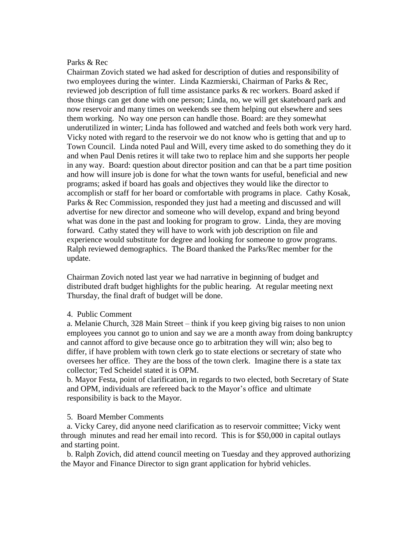#### Parks & Rec

Chairman Zovich stated we had asked for description of duties and responsibility of two employees during the winter. Linda Kazmierski, Chairman of Parks & Rec, reviewed job description of full time assistance parks & rec workers. Board asked if those things can get done with one person; Linda, no, we will get skateboard park and now reservoir and many times on weekends see them helping out elsewhere and sees them working. No way one person can handle those. Board: are they somewhat underutilized in winter; Linda has followed and watched and feels both work very hard. Vicky noted with regard to the reservoir we do not know who is getting that and up to Town Council. Linda noted Paul and Will, every time asked to do something they do it and when Paul Denis retires it will take two to replace him and she supports her people in any way. Board: question about director position and can that be a part time position and how will insure job is done for what the town wants for useful, beneficial and new programs; asked if board has goals and objectives they would like the director to accomplish or staff for her board or comfortable with programs in place. Cathy Kosak, Parks & Rec Commission, responded they just had a meeting and discussed and will advertise for new director and someone who will develop, expand and bring beyond what was done in the past and looking for program to grow. Linda, they are moving forward. Cathy stated they will have to work with job description on file and experience would substitute for degree and looking for someone to grow programs. Ralph reviewed demographics. The Board thanked the Parks/Rec member for the update.

Chairman Zovich noted last year we had narrative in beginning of budget and distributed draft budget highlights for the public hearing. At regular meeting next Thursday, the final draft of budget will be done.

#### 4. Public Comment

a. Melanie Church, 328 Main Street – think if you keep giving big raises to non union employees you cannot go to union and say we are a month away from doing bankruptcy and cannot afford to give because once go to arbitration they will win; also beg to differ, if have problem with town clerk go to state elections or secretary of state who oversees her office. They are the boss of the town clerk. Imagine there is a state tax collector; Ted Scheidel stated it is OPM.

b. Mayor Festa, point of clarification, in regards to two elected, both Secretary of State and OPM, individuals are refereed back to the Mayor's office and ultimate responsibility is back to the Mayor.

#### 5. Board Member Comments

a. Vicky Carey, did anyone need clarification as to reservoir committee; Vicky went through minutes and read her email into record. This is for \$50,000 in capital outlays and starting point.

b. Ralph Zovich, did attend council meeting on Tuesday and they approved authorizing the Mayor and Finance Director to sign grant application for hybrid vehicles.